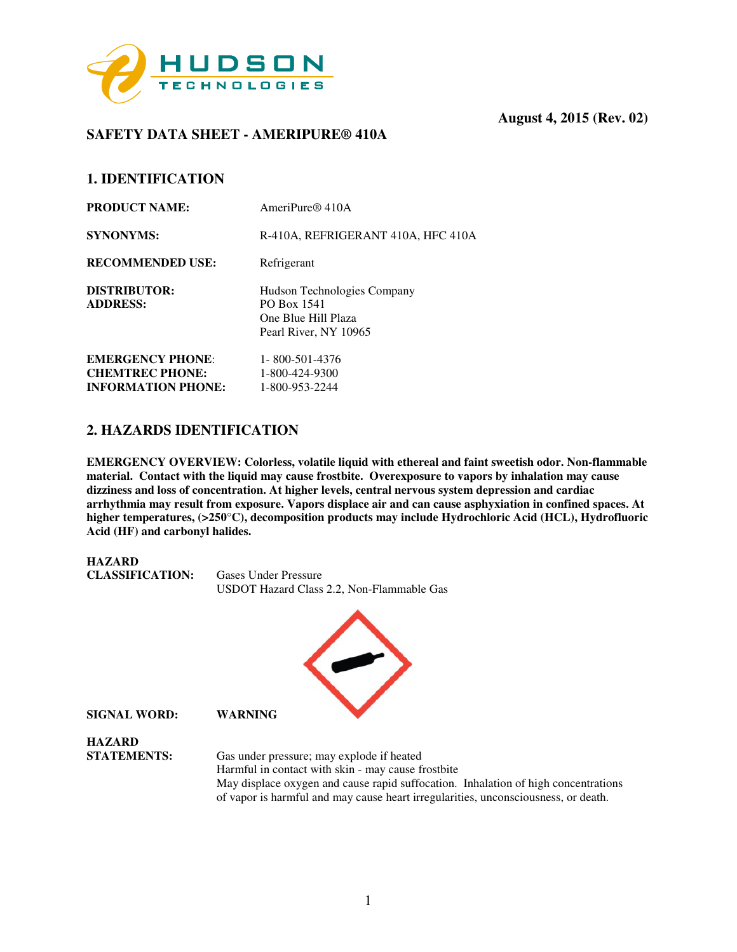

# **SAFETY DATA SHEET - AMERIPURE® 410A**

# **1. IDENTIFICATION**

| <b>PRODUCT NAME:</b>                                                           | AmeriPure $\mathbb{R}$ 410A                                                                |
|--------------------------------------------------------------------------------|--------------------------------------------------------------------------------------------|
| <b>SYNONYMS:</b>                                                               | R-410A, REFRIGERANT 410A, HFC 410A                                                         |
| <b>RECOMMENDED USE:</b>                                                        | Refrigerant                                                                                |
| DISTRIBUTOR:<br><b>ADDRESS:</b>                                                | Hudson Technologies Company<br>PO Box 1541<br>One Blue Hill Plaza<br>Pearl River, NY 10965 |
| <b>EMERGENCY PHONE:</b><br><b>CHEMTREC PHONE:</b><br><b>INFORMATION PHONE:</b> | 1-800-501-4376<br>1-800-424-9300<br>1-800-953-2244                                         |
|                                                                                |                                                                                            |

## **2. HAZARDS IDENTIFICATION**

**EMERGENCY OVERVIEW: Colorless, volatile liquid with ethereal and faint sweetish odor. Non-flammable material. Contact with the liquid may cause frostbite. Overexposure to vapors by inhalation may cause dizziness and loss of concentration. At higher levels, central nervous system depression and cardiac arrhythmia may result from exposure. Vapors displace air and can cause asphyxiation in confined spaces. At higher temperatures, (>250**°**C), decomposition products may include Hydrochloric Acid (HCL), Hydrofluoric Acid (HF) and carbonyl halides.** 



of vapor is harmful and may cause heart irregularities, unconsciousness, or death.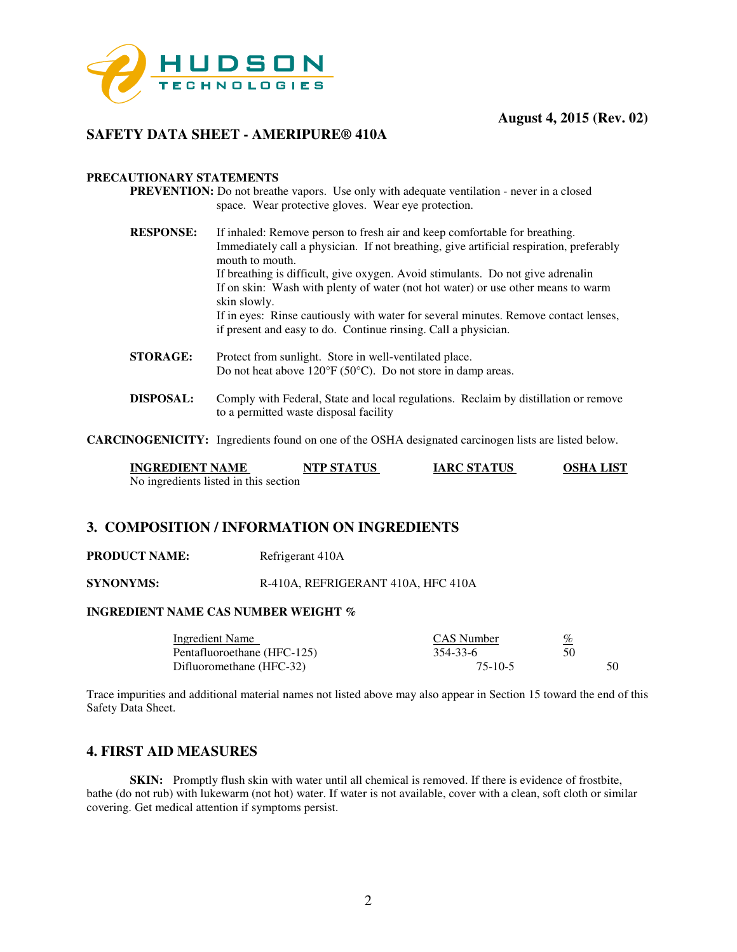

## **SAFETY DATA SHEET - AMERIPURE® 410A**

### **PRECAUTIONARY STATEMENTS**

- **PREVENTION:** Do not breathe vapors. Use only with adequate ventilation never in a closed space. Wear protective gloves. Wear eye protection.
- **RESPONSE:** If inhaled: Remove person to fresh air and keep comfortable for breathing. Immediately call a physician. If not breathing, give artificial respiration, preferably mouth to mouth. If breathing is difficult, give oxygen. Avoid stimulants. Do not give adrenalin If on skin: Wash with plenty of water (not hot water) or use other means to warm skin slowly. If in eyes: Rinse cautiously with water for several minutes. Remove contact lenses, if present and easy to do. Continue rinsing. Call a physician.
- **STORAGE:** Protect from sunlight. Store in well-ventilated place. Do not heat above 120°F (50°C). Do not store in damp areas.
- **DISPOSAL:** Comply with Federal, State and local regulations. Reclaim by distillation or remove to a permitted waste disposal facility

**CARCINOGENICITY:** Ingredients found on one of the OSHA designated carcinogen lists are listed below.

| <b>INGREDIENT NAME</b>                | <b>NTP STATUS</b> | <b>IARC STATUS</b> | OSHA LIST |
|---------------------------------------|-------------------|--------------------|-----------|
| No ingredients listed in this section |                   |                    |           |

### **3. COMPOSITION / INFORMATION ON INGREDIENTS**

**PRODUCT NAME:** Refrigerant 410A

**SYNONYMS:** R-410A, REFRIGERANT 410A, HFC 410A

### **INGREDIENT NAME CAS NUMBER WEIGHT %**

| Ingredient Name             | <b>CAS</b> Number | <u>%</u> |
|-----------------------------|-------------------|----------|
| Pentafluoroethane (HFC-125) | 354-33-6          | 50       |
| Difluoromethane (HFC-32)    | 75-10-5           | 50       |

Trace impurities and additional material names not listed above may also appear in Section 15 toward the end of this Safety Data Sheet.

## **4. FIRST AID MEASURES**

**SKIN:** Promptly flush skin with water until all chemical is removed. If there is evidence of frostbite, bathe (do not rub) with lukewarm (not hot) water. If water is not available, cover with a clean, soft cloth or similar covering. Get medical attention if symptoms persist.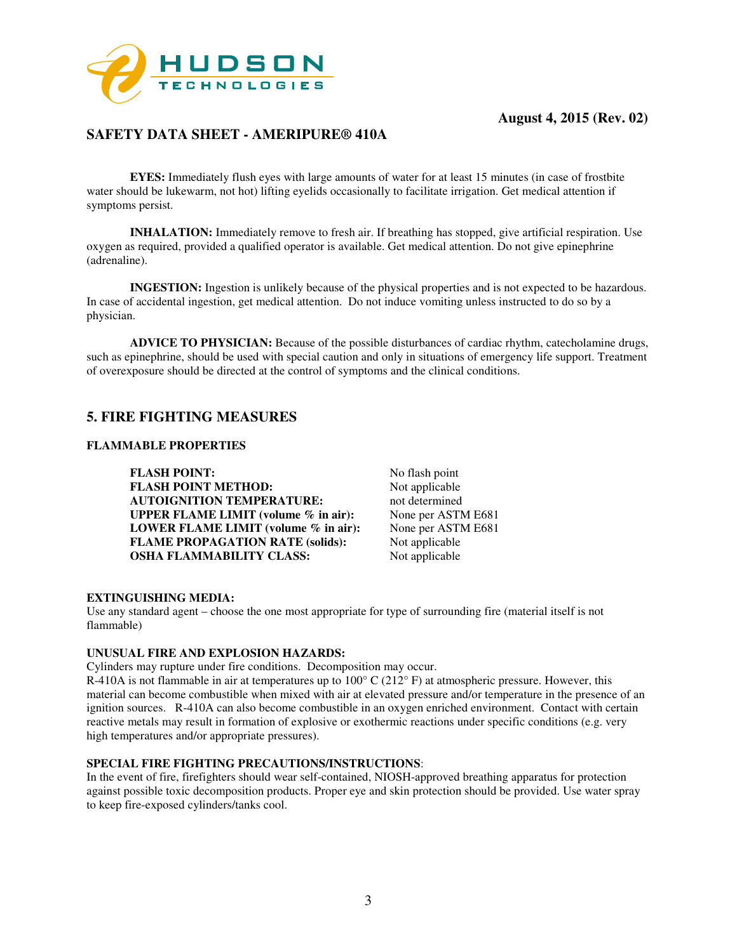

# **SAFETY DATA SHEET - AMERIPURE® 410A**

**EYES:** Immediately flush eyes with large amounts of water for at least 15 minutes (in case of frostbite water should be lukewarm, not hot) lifting eyelids occasionally to facilitate irrigation. Get medical attention if symptoms persist.

**INHALATION:** Immediately remove to fresh air. If breathing has stopped, give artificial respiration. Use oxygen as required, provided a qualified operator is available. Get medical attention. Do not give epinephrine (adrenaline).

 **INGESTION:** Ingestion is unlikely because of the physical properties and is not expected to be hazardous. In case of accidental ingestion, get medical attention. Do not induce vomiting unless instructed to do so by a physician.

**ADVICE TO PHYSICIAN:** Because of the possible disturbances of cardiac rhythm, catecholamine drugs, such as epinephrine, should be used with special caution and only in situations of emergency life support. Treatment of overexposure should be directed at the control of symptoms and the clinical conditions.

## **5. FIRE FIGHTING MEASURES**

### **FLAMMABLE PROPERTIES**

**FLASH POINT:** No flash point<br> **FLASH POINT METHOD:** Not applicable **FLASH POINT METHOD: AUTOIGNITION TEMPERATURE:** not determined<br> **UPPER FLAME LIMIT** (volume % in air): None per ASTM E681 **UPPER FLAME LIMIT (volume % in air):** None per ASTM E681<br>**LOWER FLAME LIMIT (volume % in air):** None per ASTM E681 **LOWER FLAME LIMIT (volume % in air): FLAME PROPAGATION RATE (solids):** Not applicable **OSHA FLAMMABILITY CLASS:** Not applicable

#### **EXTINGUISHING MEDIA:**

Use any standard agent – choose the one most appropriate for type of surrounding fire (material itself is not flammable)

#### **UNUSUAL FIRE AND EXPLOSION HAZARDS:**

Cylinders may rupture under fire conditions. Decomposition may occur.

R-410A is not flammable in air at temperatures up to  $100^{\circ}$  C ( $212^{\circ}$  F) at atmospheric pressure. However, this material can become combustible when mixed with air at elevated pressure and/or temperature in the presence of an ignition sources. R-410A can also become combustible in an oxygen enriched environment. Contact with certain reactive metals may result in formation of explosive or exothermic reactions under specific conditions (e.g. very high temperatures and/or appropriate pressures).

### **SPECIAL FIRE FIGHTING PRECAUTIONS/INSTRUCTIONS**:

In the event of fire, firefighters should wear self-contained, NIOSH-approved breathing apparatus for protection against possible toxic decomposition products. Proper eye and skin protection should be provided. Use water spray to keep fire-exposed cylinders/tanks cool.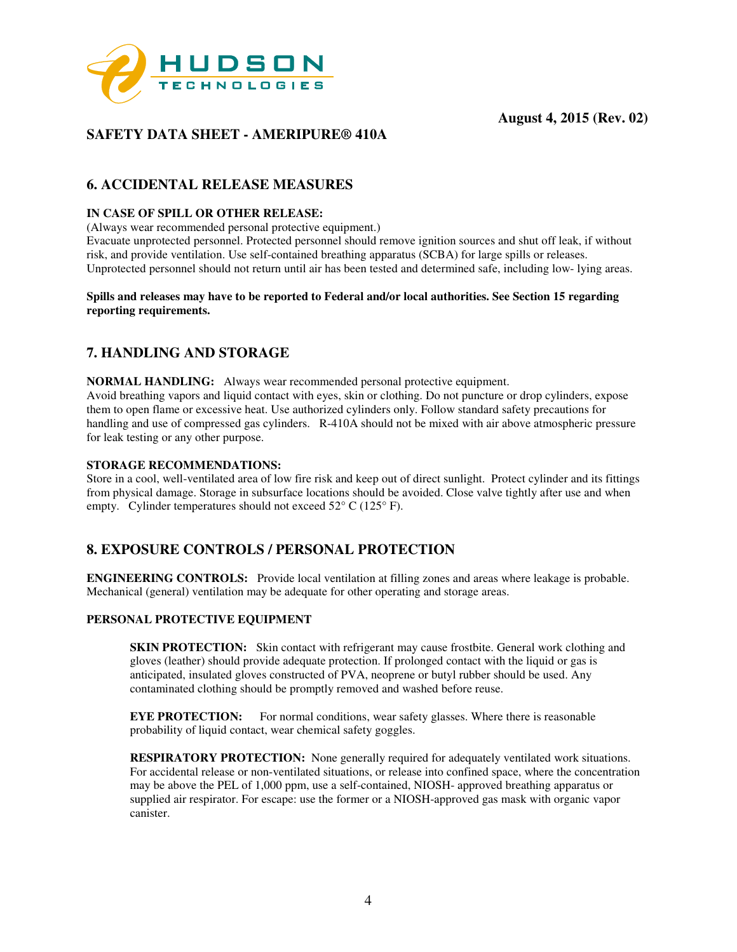

# **SAFETY DATA SHEET - AMERIPURE® 410A**

# **6. ACCIDENTAL RELEASE MEASURES**

### **IN CASE OF SPILL OR OTHER RELEASE:**

(Always wear recommended personal protective equipment.)

Evacuate unprotected personnel. Protected personnel should remove ignition sources and shut off leak, if without risk, and provide ventilation. Use self-contained breathing apparatus (SCBA) for large spills or releases. Unprotected personnel should not return until air has been tested and determined safe, including low- lying areas.

### **Spills and releases may have to be reported to Federal and/or local authorities. See Section 15 regarding reporting requirements.**

# **7. HANDLING AND STORAGE**

**NORMAL HANDLING:** Always wear recommended personal protective equipment. Avoid breathing vapors and liquid contact with eyes, skin or clothing. Do not puncture or drop cylinders, expose them to open flame or excessive heat. Use authorized cylinders only. Follow standard safety precautions for handling and use of compressed gas cylinders. R-410A should not be mixed with air above atmospheric pressure for leak testing or any other purpose.

### **STORAGE RECOMMENDATIONS:**

Store in a cool, well-ventilated area of low fire risk and keep out of direct sunlight. Protect cylinder and its fittings from physical damage. Storage in subsurface locations should be avoided. Close valve tightly after use and when empty. Cylinder temperatures should not exceed  $52^{\circ}$  C (125° F).

## **8. EXPOSURE CONTROLS / PERSONAL PROTECTION**

**ENGINEERING CONTROLS:** Provide local ventilation at filling zones and areas where leakage is probable. Mechanical (general) ventilation may be adequate for other operating and storage areas.

### **PERSONAL PROTECTIVE EQUIPMENT**

**SKIN PROTECTION:** Skin contact with refrigerant may cause frostbite. General work clothing and gloves (leather) should provide adequate protection. If prolonged contact with the liquid or gas is anticipated, insulated gloves constructed of PVA, neoprene or butyl rubber should be used. Any contaminated clothing should be promptly removed and washed before reuse.

**EYE PROTECTION:** For normal conditions, wear safety glasses. Where there is reasonable probability of liquid contact, wear chemical safety goggles.

 **RESPIRATORY PROTECTION:** None generally required for adequately ventilated work situations. For accidental release or non-ventilated situations, or release into confined space, where the concentration may be above the PEL of 1,000 ppm, use a self-contained, NIOSH- approved breathing apparatus or supplied air respirator. For escape: use the former or a NIOSH-approved gas mask with organic vapor canister.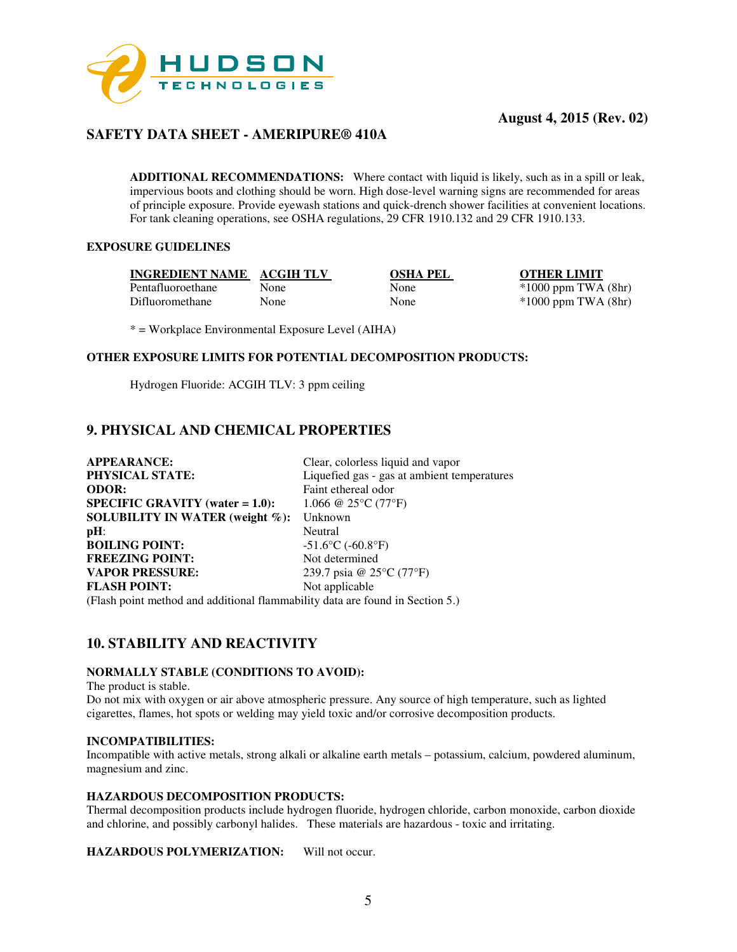

# **SAFETY DATA SHEET - AMERIPURE® 410A**

**ADDITIONAL RECOMMENDATIONS:** Where contact with liquid is likely, such as in a spill or leak, impervious boots and clothing should be worn. High dose-level warning signs are recommended for areas of principle exposure. Provide eyewash stations and quick-drench shower facilities at convenient locations. For tank cleaning operations, see OSHA regulations, 29 CFR 1910.132 and 29 CFR 1910.133.

### **EXPOSURE GUIDELINES**

**INGREDIENT NAME ACGIH TLV OSHA PEL OTHER LIMIT** Pentafluoroethane None None \*1000 ppm TWA (8hr) Difluoromethane None None \*1000 ppm TWA (8hr)

\* = Workplace Environmental Exposure Level (AIHA)

### **OTHER EXPOSURE LIMITS FOR POTENTIAL DECOMPOSITION PRODUCTS:**

Hydrogen Fluoride: ACGIH TLV: 3 ppm ceiling

## **9. PHYSICAL AND CHEMICAL PROPERTIES**

| <b>APPEARANCE:</b>                                                            | Clear, colorless liquid and vapor                 |  |
|-------------------------------------------------------------------------------|---------------------------------------------------|--|
| PHYSICAL STATE:                                                               | Liquefied gas - gas at ambient temperatures       |  |
| <b>ODOR:</b>                                                                  | Faint ethereal odor                               |  |
| <b>SPECIFIC GRAVITY</b> (water $= 1.0$ ):                                     | 1.066 @ 25 $\rm ^{\circ}$ C (77 $\rm ^{\circ}$ F) |  |
| SOLUBILITY IN WATER (weight $\%$ ):                                           | Unknown                                           |  |
| $pH$ :                                                                        | Neutral                                           |  |
| <b>BOILING POINT:</b>                                                         | $-51.6$ °C (-60.8°F)                              |  |
| <b>FREEZING POINT:</b>                                                        | Not determined                                    |  |
| <b>VAPOR PRESSURE:</b>                                                        | 239.7 psia @ 25°C (77°F)                          |  |
| <b>FLASH POINT:</b>                                                           | Not applicable                                    |  |
| (Flash point method and additional flammability data are found in Section 5.) |                                                   |  |

## **10. STABILITY AND REACTIVITY**

### **NORMALLY STABLE (CONDITIONS TO AVOID):**

The product is stable.

Do not mix with oxygen or air above atmospheric pressure. Any source of high temperature, such as lighted cigarettes, flames, hot spots or welding may yield toxic and/or corrosive decomposition products.

#### **INCOMPATIBILITIES:**

Incompatible with active metals, strong alkali or alkaline earth metals – potassium, calcium, powdered aluminum, magnesium and zinc.

### **HAZARDOUS DECOMPOSITION PRODUCTS:**

Thermal decomposition products include hydrogen fluoride, hydrogen chloride, carbon monoxide, carbon dioxide and chlorine, and possibly carbonyl halides. These materials are hazardous - toxic and irritating.

**HAZARDOUS POLYMERIZATION:** Will not occur.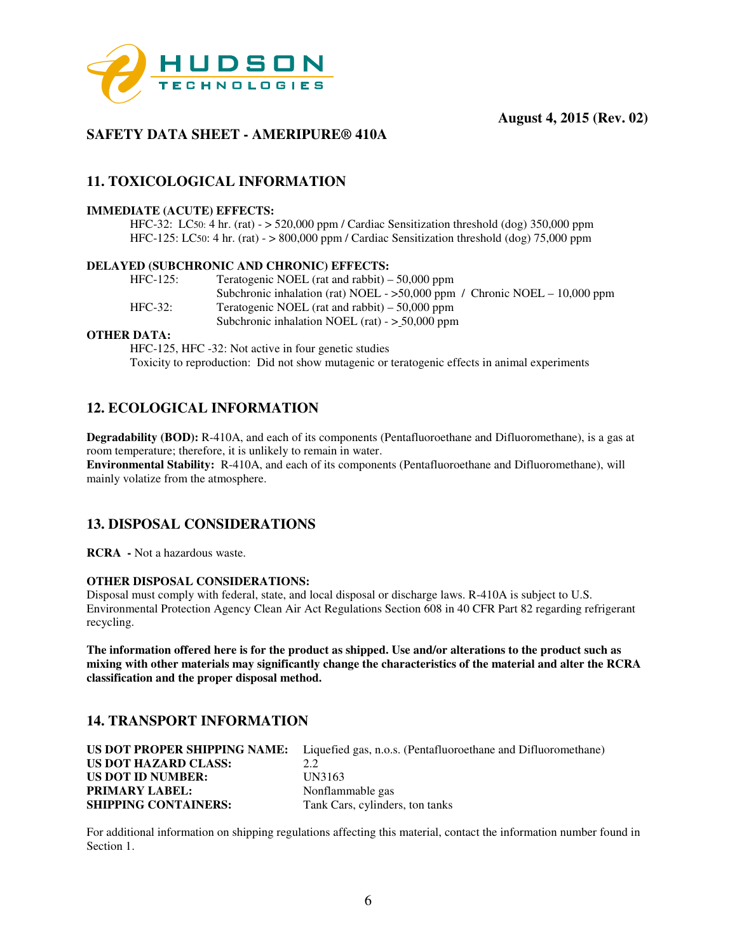

# **SAFETY DATA SHEET - AMERIPURE® 410A**

# **11. TOXICOLOGICAL INFORMATION**

### **IMMEDIATE (ACUTE) EFFECTS:**

 HFC-32: LC50: 4 hr. (rat) - > 520,000 ppm / Cardiac Sensitization threshold (dog) 350,000 ppm HFC-125: LC50: 4 hr. (rat) - > 800,000 ppm / Cardiac Sensitization threshold (dog) 75,000 ppm

#### **DELAYED (SUBCHRONIC AND CHRONIC) EFFECTS:**

| $HFC-125$ : | Teratogenic NOEL (rat and rabbit) $-50,000$ ppm                              |
|-------------|------------------------------------------------------------------------------|
|             | Subchronic inhalation (rat) NOEL - $>50,000$ ppm / Chronic NOEL - 10,000 ppm |
| $HEC-32:$   | Teratogenic NOEL (rat and rabbit) $-50,000$ ppm                              |
|             | Subchronic inhalation NOEL (rat) $-$ > 50,000 ppm                            |

### **OTHER DATA:**

HFC-125, HFC -32: Not active in four genetic studies Toxicity to reproduction: Did not show mutagenic or teratogenic effects in animal experiments

## **12. ECOLOGICAL INFORMATION**

**Degradability (BOD):** R-410A, and each of its components (Pentafluoroethane and Difluoromethane), is a gas at room temperature; therefore, it is unlikely to remain in water. **Environmental Stability:** R-410A, and each of its components (Pentafluoroethane and Difluoromethane), will mainly volatize from the atmosphere.

## **13. DISPOSAL CONSIDERATIONS**

**RCRA -** Not a hazardous waste.

#### **OTHER DISPOSAL CONSIDERATIONS:**

Disposal must comply with federal, state, and local disposal or discharge laws. R-410A is subject to U.S. Environmental Protection Agency Clean Air Act Regulations Section 608 in 40 CFR Part 82 regarding refrigerant recycling.

**The information offered here is for the product as shipped. Use and/or alterations to the product such as mixing with other materials may significantly change the characteristics of the material and alter the RCRA classification and the proper disposal method.** 

## **14. TRANSPORT INFORMATION**

|                             | <b>US DOT PROPER SHIPPING NAME:</b> Liquefied gas, n.o.s. (Pentafluoroethane and Difluoromethane) |
|-----------------------------|---------------------------------------------------------------------------------------------------|
| US DOT HAZARD CLASS:        | 2.2                                                                                               |
| <b>US DOT ID NUMBER:</b>    | UN3163                                                                                            |
| <b>PRIMARY LABEL:</b>       | Nonflammable gas                                                                                  |
| <b>SHIPPING CONTAINERS:</b> | Tank Cars, cylinders, ton tanks                                                                   |

For additional information on shipping regulations affecting this material, contact the information number found in Section 1.